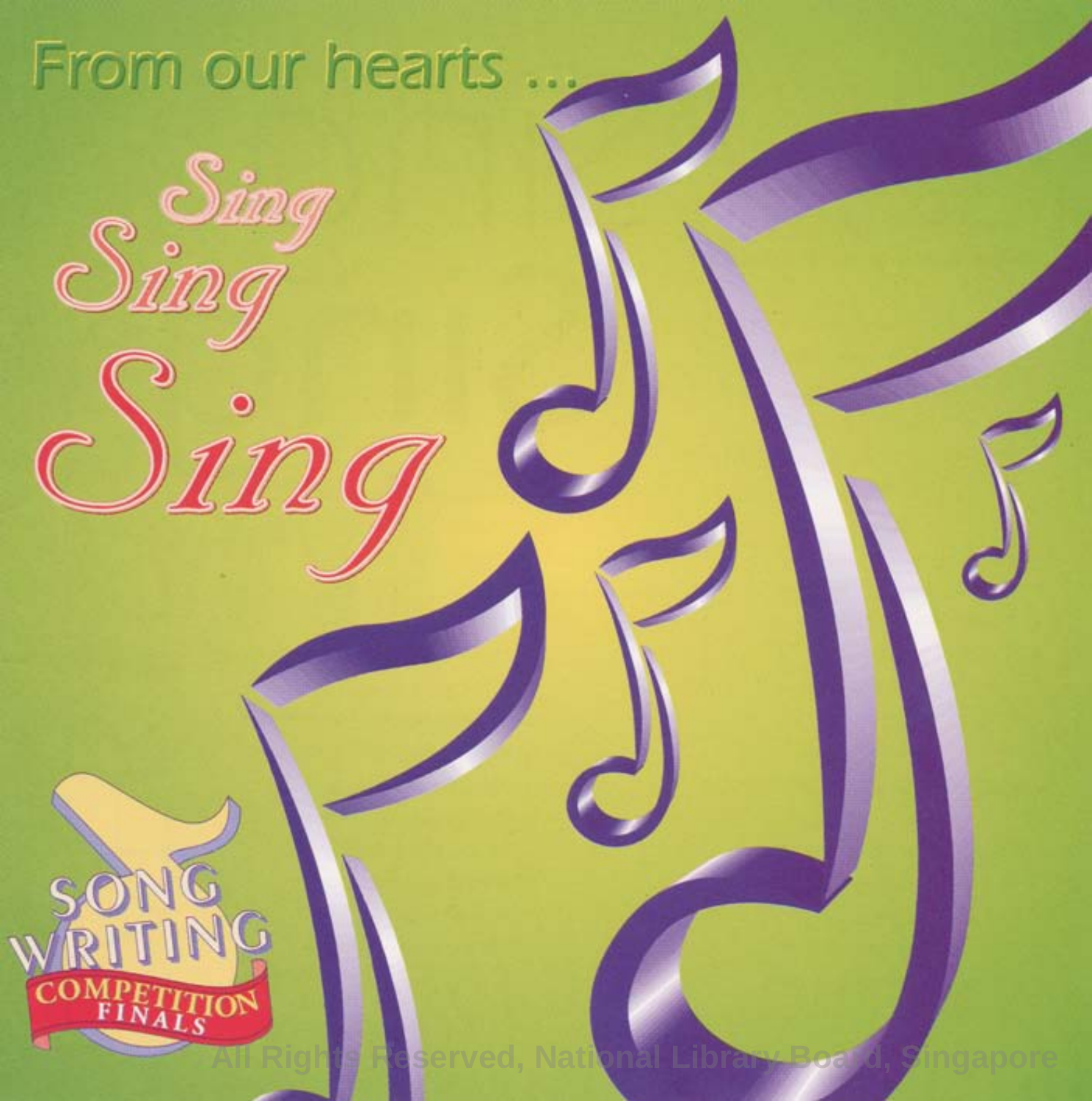### From our hearts

Sing

 $\dot{m}$ 

Sing

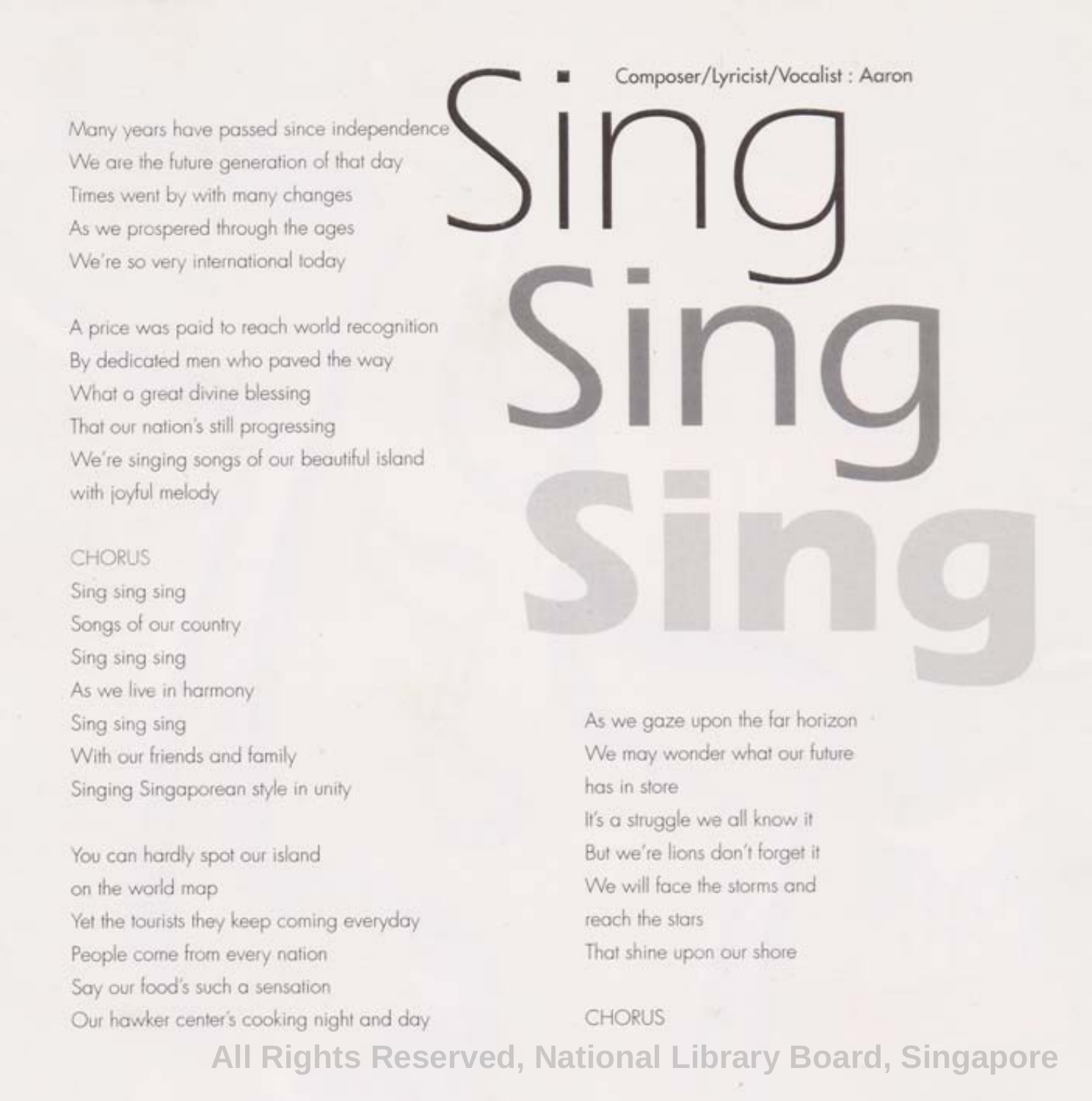Many years have passed since independence We are the future generation of that day Times went by with many changes As we prospered through the ages We're so very international today

A price was paid to reach world recognition By dedicated men who paved the way What a great divine blessing That our nation's still progressing We're singing songs of our beautiful island with joyful melody

#### CHORUS

Sing sing sing Songs of our country Sing sing sing As we live in harmony Sing sing sing With our friends and family Singing Singaporean style in unity

You can hardly spot our island on the world map Yet the tourists they keep coming everyday People come from every nation Say our food's such a sensation Our hawker center's cooking night and day

## Single Composer/Lyricist/Vocalist: Aaron **Sing Sing**

As we gaze upon the far horizon We may wonder what our future has in store It's a struggle we all know it But we're lions don't forget it We will face the storms and reach the stars That shine upon our shore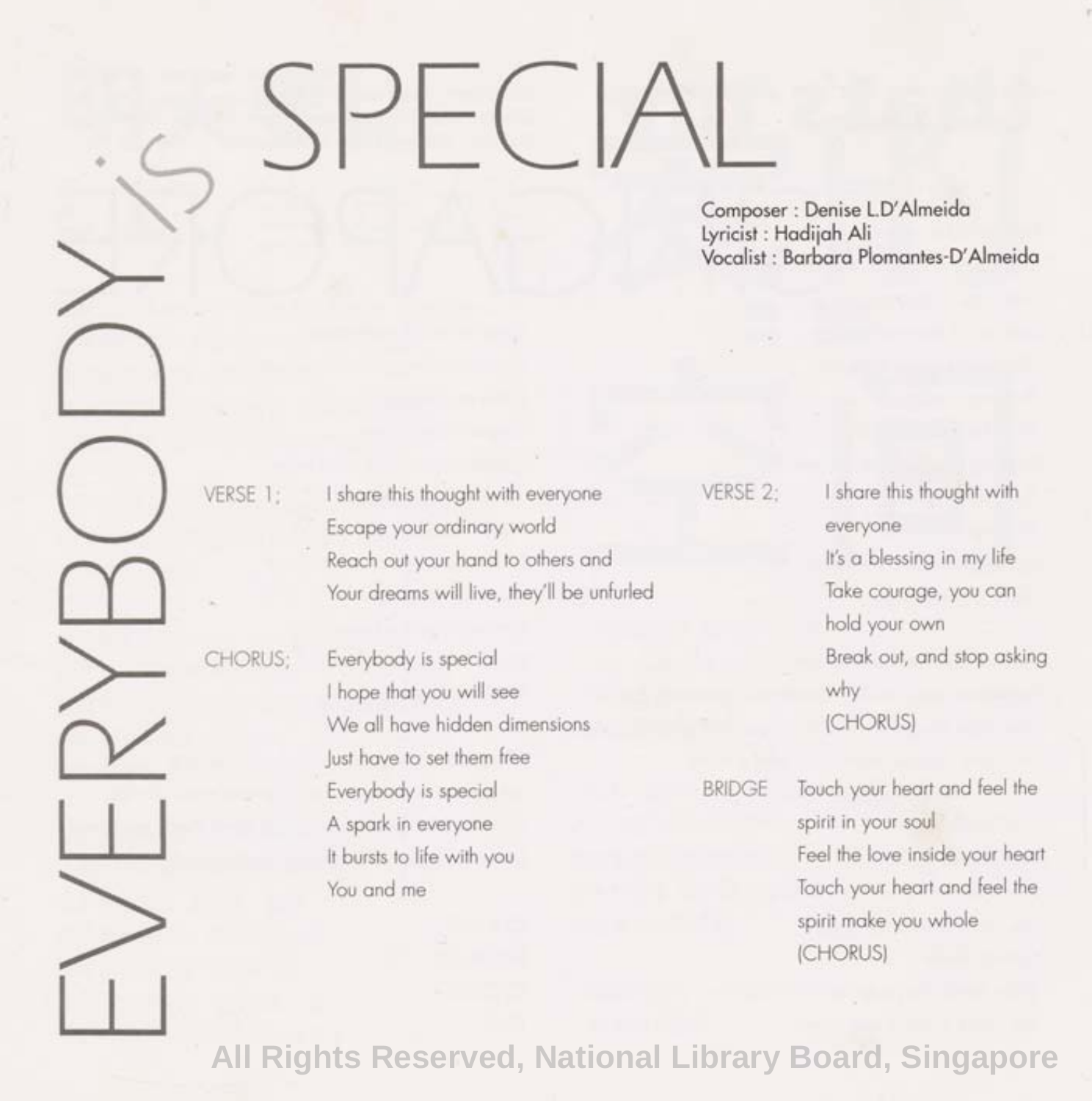## SPECIAL

 $\lambda$ 

**Composer : Denise LD'Almeida Lyricist: Hadijah Ali Vocalist: Barbara Plomantes-D'Almeida** 

(CHORUS)

EVERYBODY VERSE 1; I share this thought with everyone Escape your ordinary world Reach out your hand to others and Your dreams will live, they'll be unfurled CHORUS; Everybody is special I hope that you will see We all have hidden dimensions lust have to set them free Everybody is special A spark in everyone It bursts to life with you You and me VERSE 2: I share this thought with everyone It's a blessing in my life Take courage, you can hold your own Break out, and stop asking why (CHORUS) BRIDGE Touch your heart and feel the spirit in your soul Feel the love inside your heart Touch your heart and feel the spirit make you whole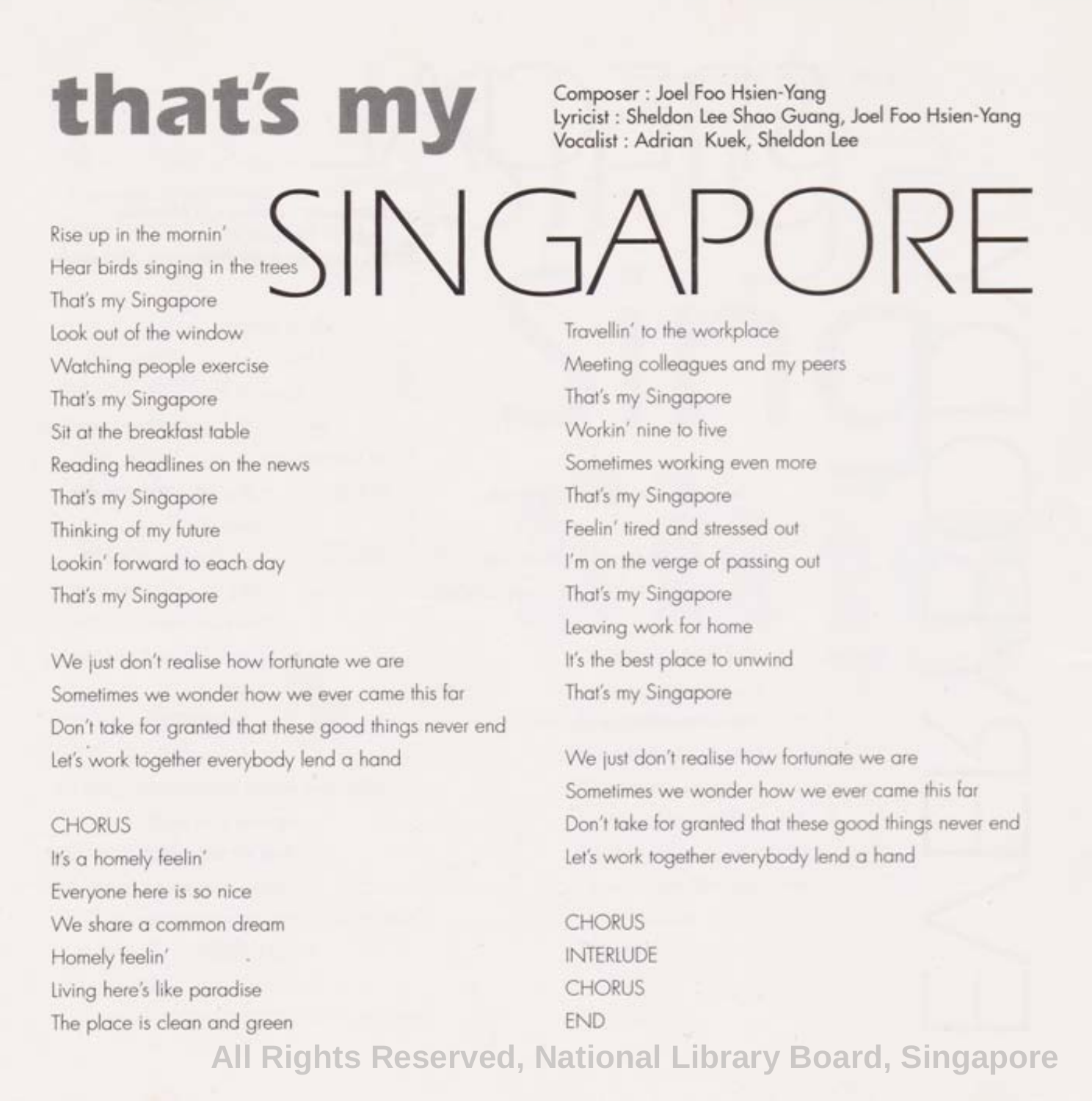## that's my

**Composer : Joel Foo Hsien-Yang Lyricist: Sheldon Lee Shao Guang, Joel Foo Hsien-Yang Vocalist: Adrian Kuek, Sheldon Lee** 

SINGAPORE Rise up in the mornin' Hear birds singing in the trees

That's my Singapore Look out of the window Watching people exercise That's my Singapore Sit at the breakfast table Reading headlines on the news That's my Singapore Thinking of my future Lookin' forward to each day That's my Singapore

We just don't realise how fortunate we are Sometimes we wonder how we ever came this far Don't take for granted that these good things never end Let's work together everybody lend a hand

#### CHORUS

It's a homely feelin' Everyone here is so nice We share a common dream Homely feelin' Living here's like paradise The place is clean and green

Travellin' to the workplace Meeting colleagues and my peers That's my Singapore Workin' nine to five Sometimes working even more That's my Singapore Feelin' tired and stressed out I'm on the verge of passing out That's my Singapore Leaving work for home It's the best place to unwind That's my Singapore

We just don't realise how fortunate we are Sometimes we wonder how we ever came this far Don't take for granted that these good things never end Let's work together everybody lend a hand

CHORUS **INTERIUDE CHORUS** END **All Rights Reserved, National Library Board, Singapore**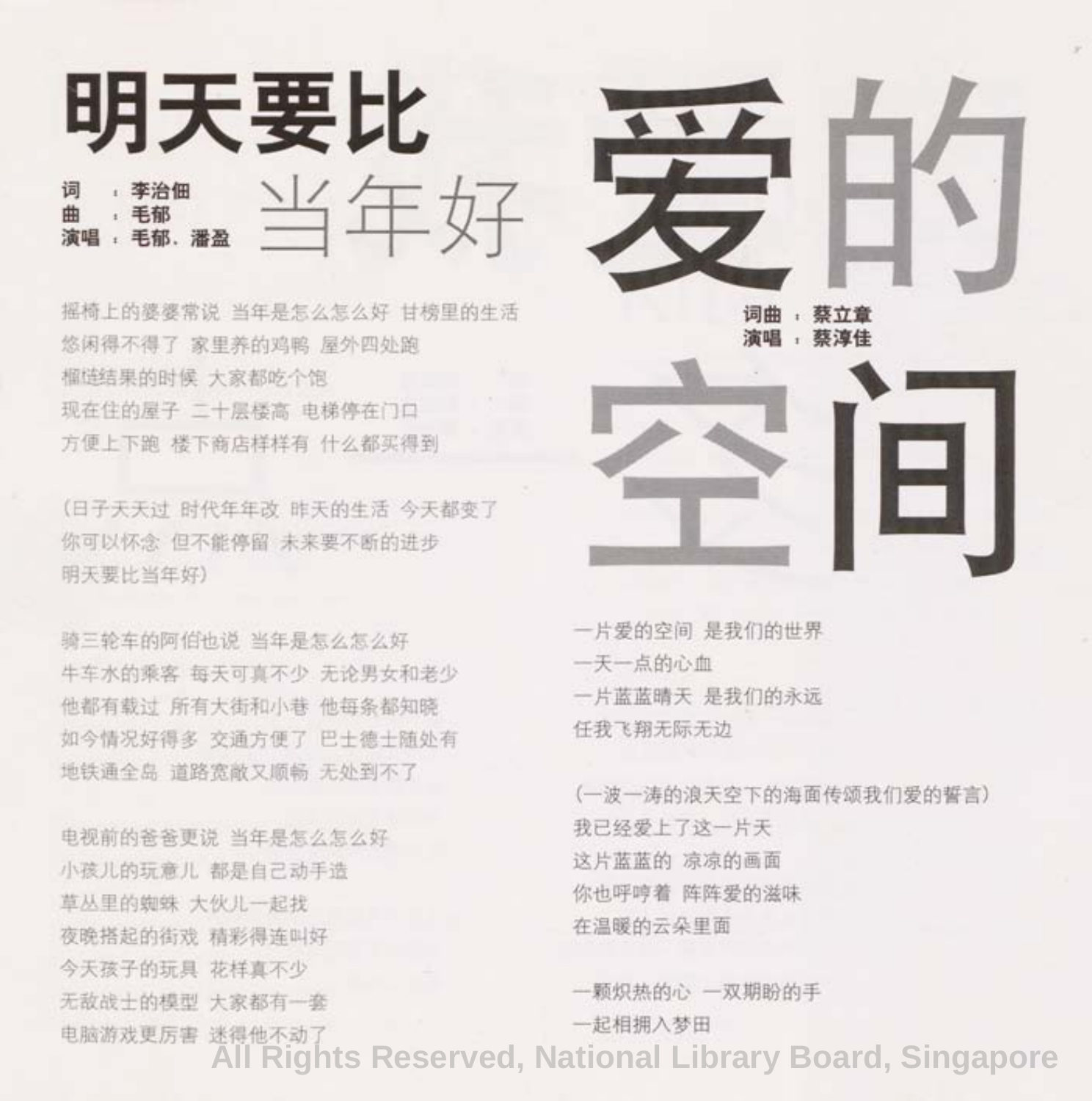

摇椅上的婆婆常说 当年是怎么怎么好 甘榜里的生活 悠闲得不得了 家里养的鸡鸭 屋外四处跑 榴梿结果的时候 大家都吃个饱 现在住的屋子 二十层楼高 电梯停在门口 方便上下跑 楼下商店样样有 什么都买得到

(日子天天讨 时代年年改 昨天的生活 今天都变了 你可以怀念 但不能停留 未来要不断的进步 明天要 比当年 好)

骑三轮车的阿伯也说 当年是怎么怎么好 牛车水的乘客 每天可真不少 无论男女和老少 他都有载过 所有大街和小巷 他每条都知晓 如今情况好得多 交通方便了 巴士德士随处有 地铁通全岛 道路宽敞又顺畅 无处到不了

电视前的爸爸更说 当年是怎么怎么好 小孩儿的玩意儿 都是自己动手造 草丛里的蜘蛛 大伙儿一起找 夜晚搭起的街戏 精彩得连叫好 今天 孩子的玩具 花样真不少 无敌战十的模型 大家都有一套 电脑游戏更厉害 迷得他不动了



一片爱的空间 是我们的世界 一天一 点的心血 一片蓝蓝晴天 是我们的永远 任我 飞翔 无际无边

(一波一涛 的浪天空 下的海面传颂我 们爱的誓言) 我已经爱上了这一片天 这片蓝蓝的 凉凉的画面 你也呼哼着 阵阵爱的滋味 在温暖的云朵 里面

一颗炽热的心 一双期盼的手 一起相拥入梦田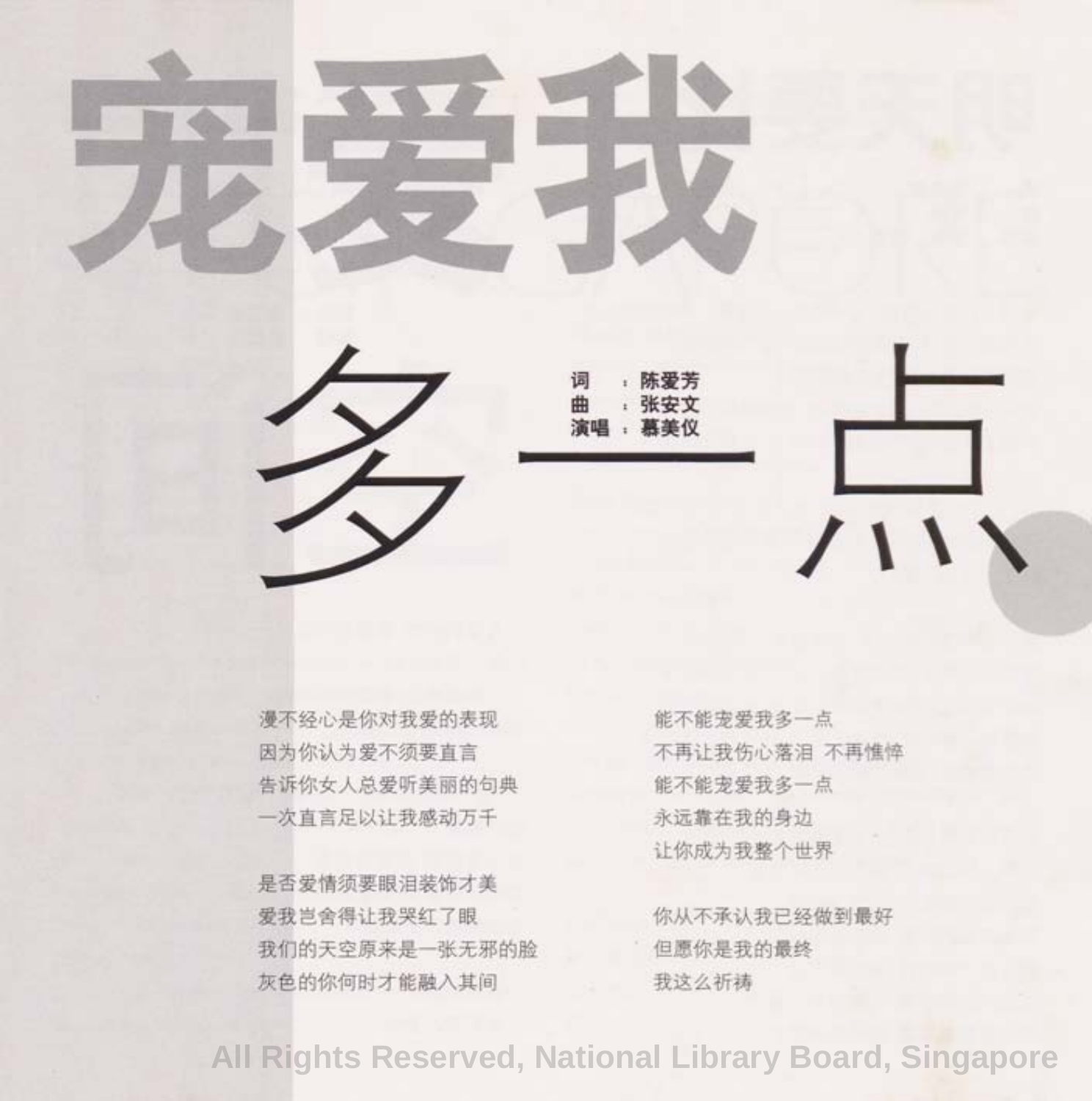

漫不经心是你对我爱的表现 因为你认为 爱不须要直言 告 诉你女人 总爱听美丽 的句典 一次直言足以让我感动万千

是否爱情须要眼泪装饰才美 爱我岂舍得让我哭红了眼 我们的天空原来是一张无邪的脸 灰色的你何时才能融入其间

能不能宠爱我多一点 不再让我 伤心落泪 不再憔悴 能不能宠爱我多一点 永远靠在我的身边 让你成为我整个世界

你从不承认我已经做到最好 但愿你是我 的最终 我这么祈祷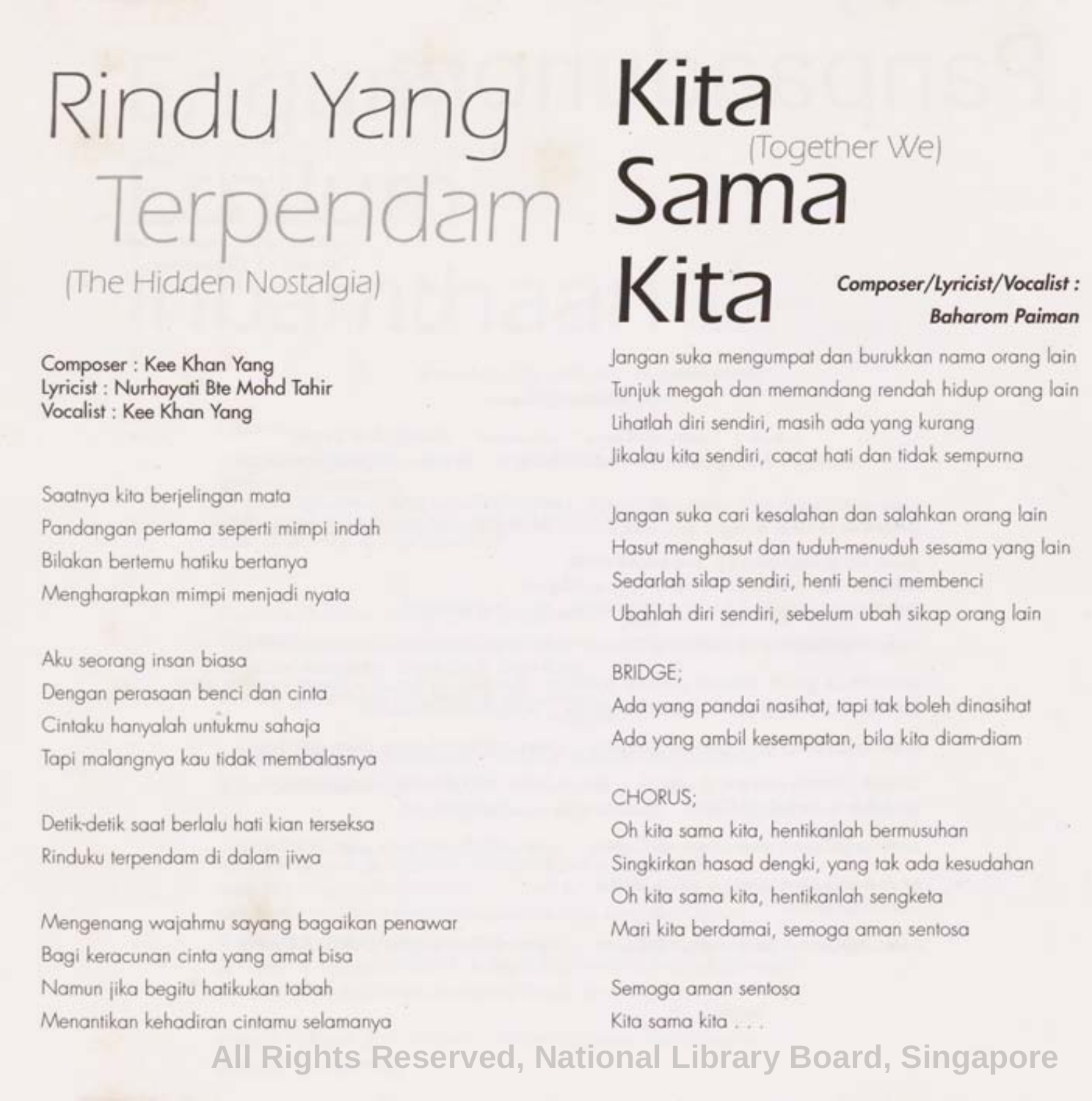## Rindu Yang Terpendam (The Hidden Nostalgia)

Composer : Kee Khan Yang Lyricist: Nurhayati Bte Mohd Tahir Vocalist: Kee Khan Yang

Saatnya kita berjelingan mata Pandangan pertama seperti mimpi indah Bilakan bertemu hatiku bertanya Mengharapkan mimpi menjadi nyata

Aku seorang insan biasa Dengan perasaan benci dan cinta Cintaku hanyaloh untukmu sahaja Tapi malangnya kau tidak membalasnya

Detik-detik saat berlalu hati kian terseksa Rinduku terpendam di dalam jiwa

Mengenang wajahmu sayang bagaikan penawar Bagi keracunan cinta yang amat bisa Namun jika begitu hatikukan tabah Menantikan kehadiran cintamu selamanya

#### **Kita**  Sama<sup>(Together We)</sup> **Kita Composer/Lyricist/Vocalist: Baharom Paiman**

Jangan suka mengumpat dan burukkan nama orang lain Tunjuk megah dan memandang rendah hidup orang lain Lihatlah diri sendiri, masih ada yang kurang Jikalau kita sendiri, cacat hati dan tidak sempurna

Jangan suka cari kesalahan dan salahkan orang lain Hasut menghasut dan tuduh-menuduh sesama yang lain Sedarlah silap sendiri, henfi benci membenci Ubahlah diri sendiri, sebelum ubah sikap orang lain

#### BRIDGE;

Ada yang pandai nasihat, tapi tak boleh dinasihat Ada yang ambil kesempatan, bila kita diam-diam

#### CHORUS;

Oh kita sama kita, hentikanlah bermusuhan Singkirkan hasad dengki, yang tak ada kesudahan Oh kita sama kita, hentikanlah sengketa Mari kita berdamai, semoga aman sentosa

Semoga aman sentosa Kita sama kita . . .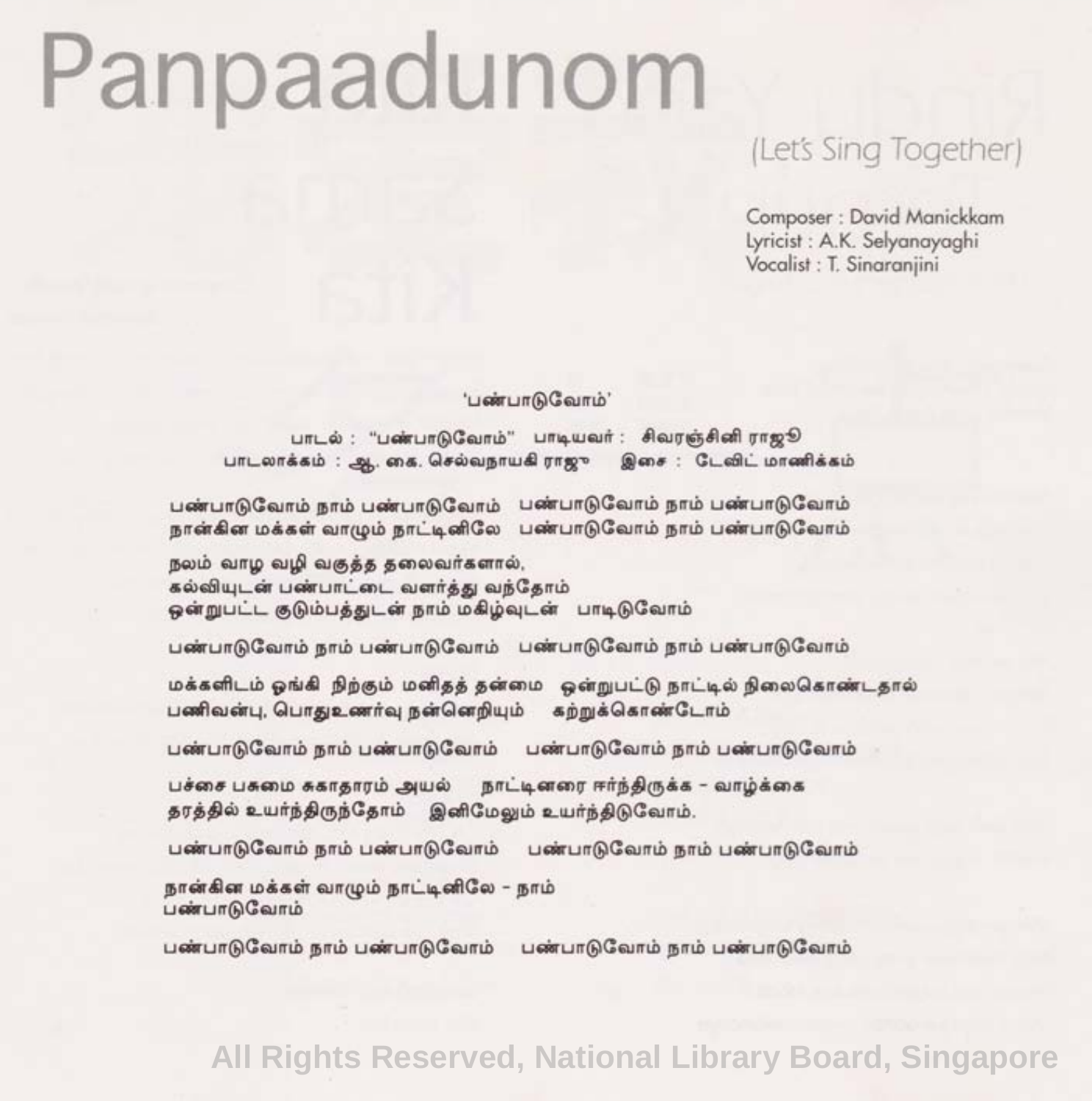## Panpaadunom

#### (Lets Sing Together)

Composer: David Manickkam Lyricist: A.K. Selyanayaghi Vocalist: T. Sinaranjini

'பண்பாடுவோம்'

பாடல் : "பண்பாடுவோம்" பாடியவர் : சிவரஞ்சினி ராஜூ பாடலாக்கம் : ஆ. கை. செல்வநாயகி ராஜு இசை : டேவிட் மாணிக்கம்

பண்பாடுவோம் நாம் பண்பாடுவோம் பண்பாடுவோம் நாம் பண்பாடுவோம் நான்கின் மக்கள் வாமும் நாட்டினிலே பண்பாடுவோம் நாம் பண்பாடுவோம்

நலம் வாழ வழி வகுத்த தலைவர்களால், கல்வியடன் பண்பாட்டை வளர்க்கு வந்கோம் ஒன்றுபட்ட குடும்பக்குடன் நாம் மகிம்வடன் பாடிடுவோம்

பண்பாடுவோம் நாம் பண்பாடுவோம் பண்பாடுவோம் நாம் பண்பாடுவோம்

மக்களிடம் ஓங்கி நிற்கும் மனிதத் தன்மை ஒன்றுபட்டு நாட்டில் நிலைகொண்டதால் பணிவன்பு, பொதுஉணர்வு நன்னெறியும் கற்றுக்கொண்டோம்

பண்பாடுவோம் நாம் பண்பாடுவோம் பண்பாடுவோம் நாம் பண்பாடுவோம்

பச்சை பசுமை சுகாகாரம் அயல் நாட்டினரை ஈர்ந்திருக்க - வாழ்க்கை தரத்தில் உயர்ந்திருந்தோம் இனிமேலும் உயர்ந்திடுவோம்.

பண்பாடுவோம் நாம் பண்பாடுவோம் பண்பாடுவோம் நாம் பண்பாடுவோம்

நான்கின மக்கள் வாமும் நாட்டினிலே – நாம் பண்பாடுவோம்

பண்பாடுவோம் நாம் பண்பாடுவோம் பண்பாடுவோம் நாம் பண்பாடுவோம்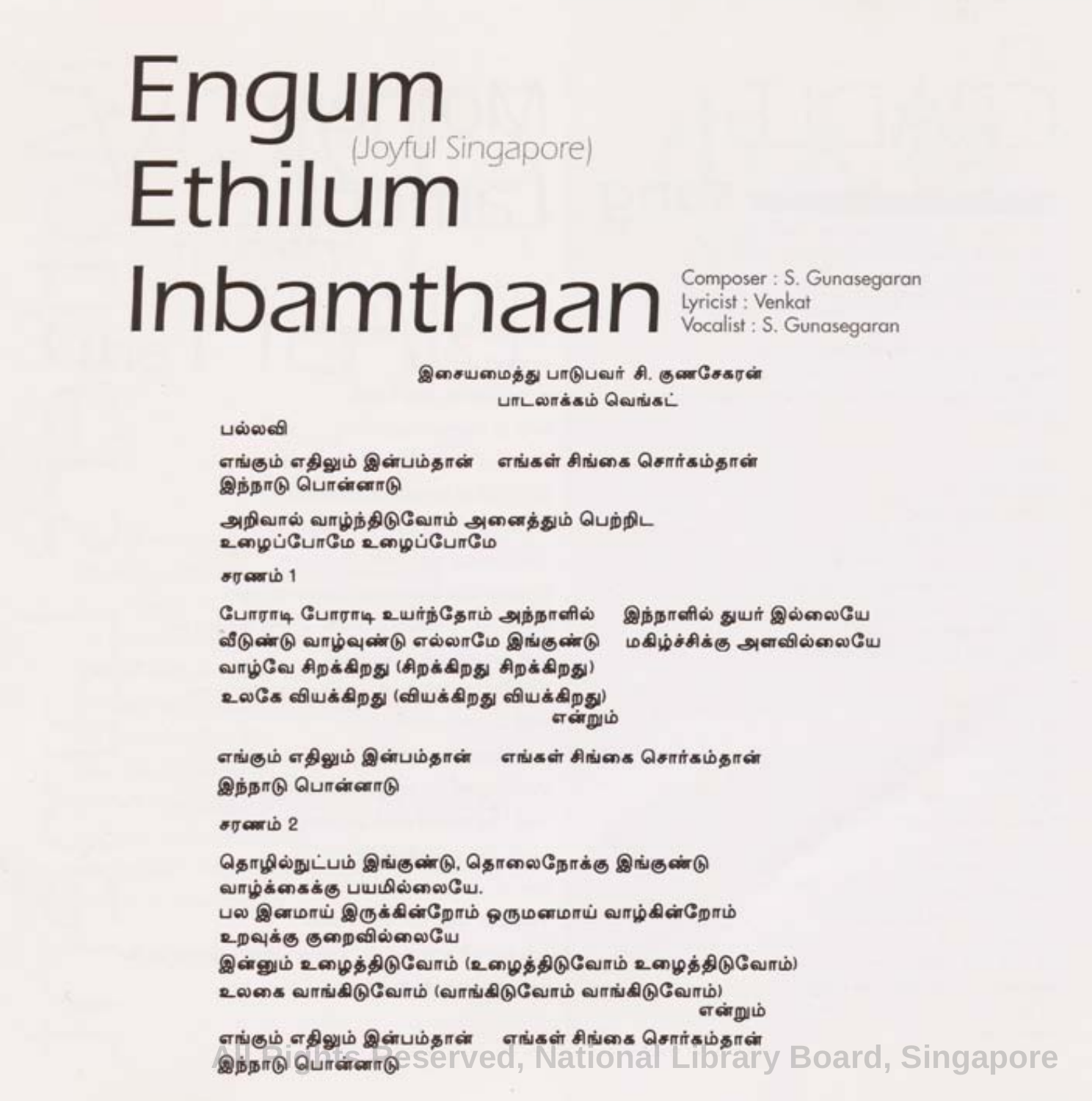## Engum Ethilum Inbamthaan Composer: S. Gunasegaran Lyricist: Venkat Vocalist: S. Gunasegaran

இசையமைத்து பாடுபவர் சி. குணசேகரன் **UTL OTAALD QOINAL** 

பல்லவி

எங்கும் எதிலும் இன்பம்தான் எங்கள் சிங்கை சொர்கம்தாள் இந்நாடு பொன்னாடு

அறிவால் வாழ்ந்திடுவோம் அனைத்தும் பெற்றிட உழைப்போமே உழைப்போமே

stroppin 1

போராடி போராடி உயர்ந்தோம் அந்நாளில் வீடுண்டு வாழ்வுண்டு எல்லாமே இங்குண்டு வாழ்வே சிறக்கிறது (சிறக்கிறது சிறக்கிறது) உலகே வியக்கிறது (வியக்கிறது வியக்கிறது) என்றும்

இந்நாளில் துயர் இல்லையே மகிம்ச்சிக்கு அளவில்லையே

எங்கும் எதிலும் இன்பம்தான் எங்கள் சிங்கை சொர்கம்கான் இந்நாடு பொன்னாடு

 $\epsilon$  m cannib 2

தொழில்நுட்பம் இங்குண்டு, தொலைநோக்கு இங்குண்டு வாம்க்கைக்கு பயமில்லையே. பல இனமாய் இருக்கின்றோம் ஒருமனமாய் வாம்கின்றோம் உறவுக்கு குறைவில்லையே இன்னும் உழைத்திடுவோம் (உழைத்திடுவோம் உழைத்திடுவோம்) உலகை வாங்கிடுவோம் (வாங்கிடுவோம் வாங்கிடுவோம்) என்றும்

**எங்கும் எதிலும் இன்பம்தான் நங்கள் சிங்கை சொர்கம்தான்**<br>இந்நாடு பொன்னாடு Served, National Library Board, Singapore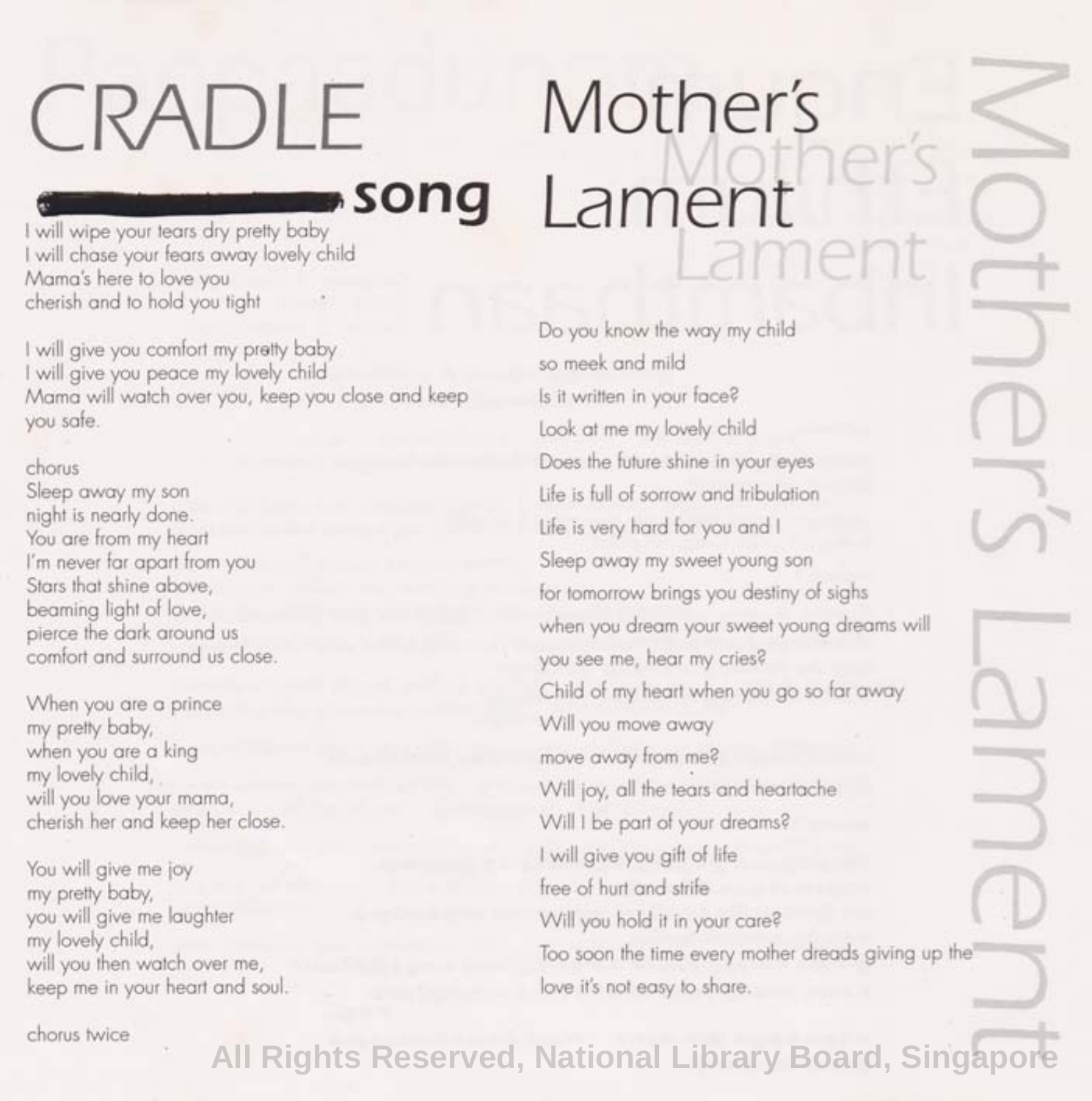## CRADLE

# **Mother's** Mother's **Lament** Lament

Mother

**song** I will chase your fears away lovely child Mama's here to love you cherish and to hold you tight

I will give you comfort my pretty baby I will give you peace my lovely child Mama will watch over you, keep you close and keep you safe.

#### chorus

Sleep away my son night is nearly done. You are from my heart I'm never far apart from you Stars that shine above, beaming light of love, pierce the dark around us comfort and surround us close.

When you are a prince my pretty baby, when you are a king my lovely child, will you love your mama, cherish her and keep her close.

You will give me joy my pretty baby, you will give me laughter my lovely child, will you then watch over me, keep me in your heart and soul. Do you know the way my child so meek and mild Is it written in your face? Look at me my lovely child Does the future shine in your eyes Life is full of sorrow and tribulation Life is very hard for you and I Sleep away my sweet young son for tomorrow brings you destiny of sighs when you dream your sweet young dreams will you see me, hear my cries? Child of my heart when you go so far away Will you move away move away from me? Will joy, all the tears and heartache Will I be part of your dreams? I will give you gift of life free of hurt and strife Will you hold it in your care?

Too soon the time every mother dreads giving up the love it's not easy to share.

chorus twice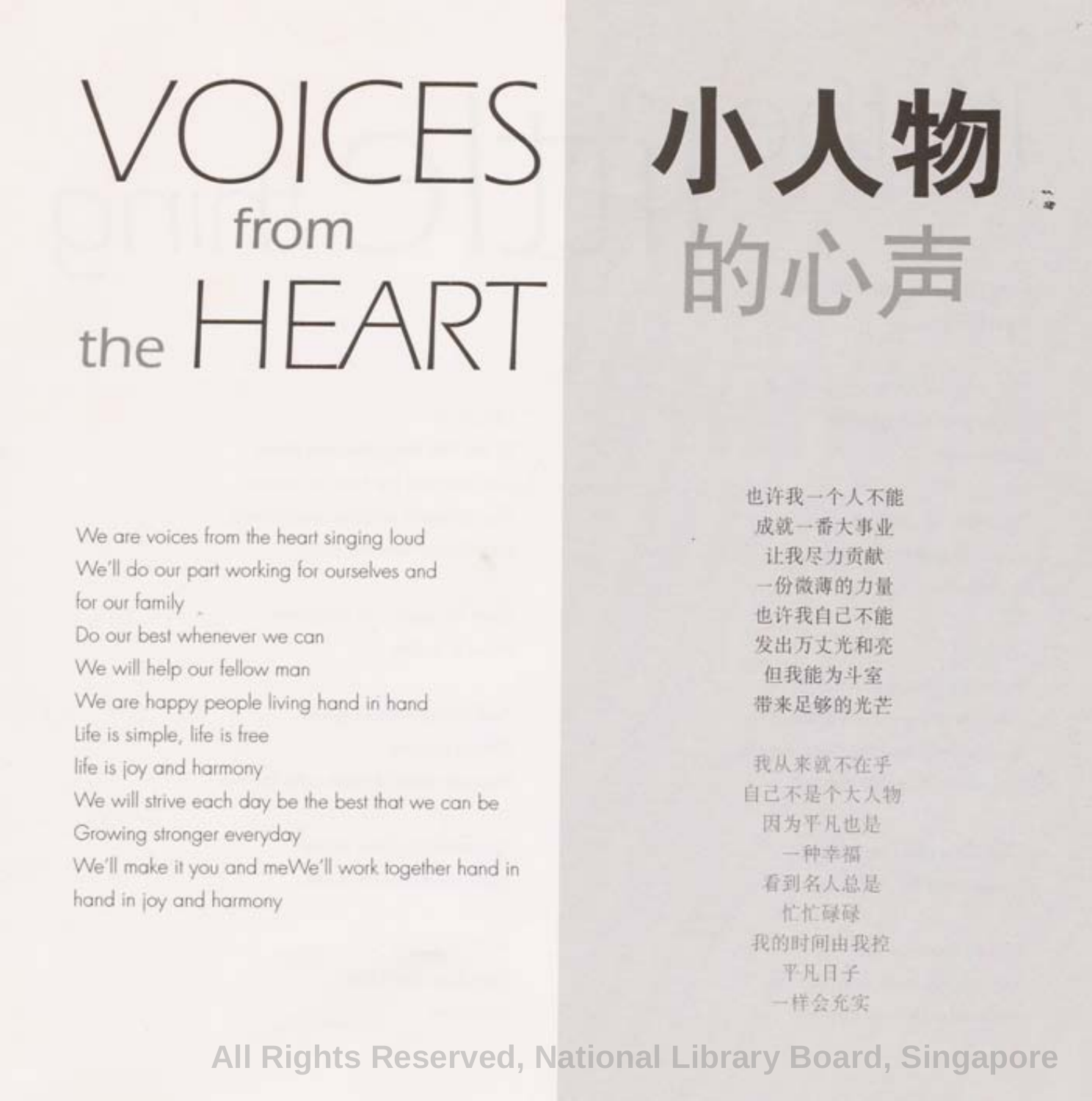## VOICES from the HEART

小入物 的心声

We are voices from the heart singing loud We'll do our part working for ourselves and for our family Do our best whenever we can We will help our fellow man We are happy people living hand in hand Life is simple, life is free life is joy and harmony We will strive each day be the best that we can be Growing stronger everyday We'll make it you and meWe'll work together hand in hand in joy and harmony

也许我一个人木能 成就一番大事业 让我尽力贡献 一份微薄的力量 也许我自已不能 发出万丈光和亮 但我能 为斗 室 带来足够的光芒

我从来就不在乎 自己不皇个大人物 因为平凡也是 一种幸福 看到名人总是 忙忙碌碌 我的时间由我控 平凡日子 一样 会充实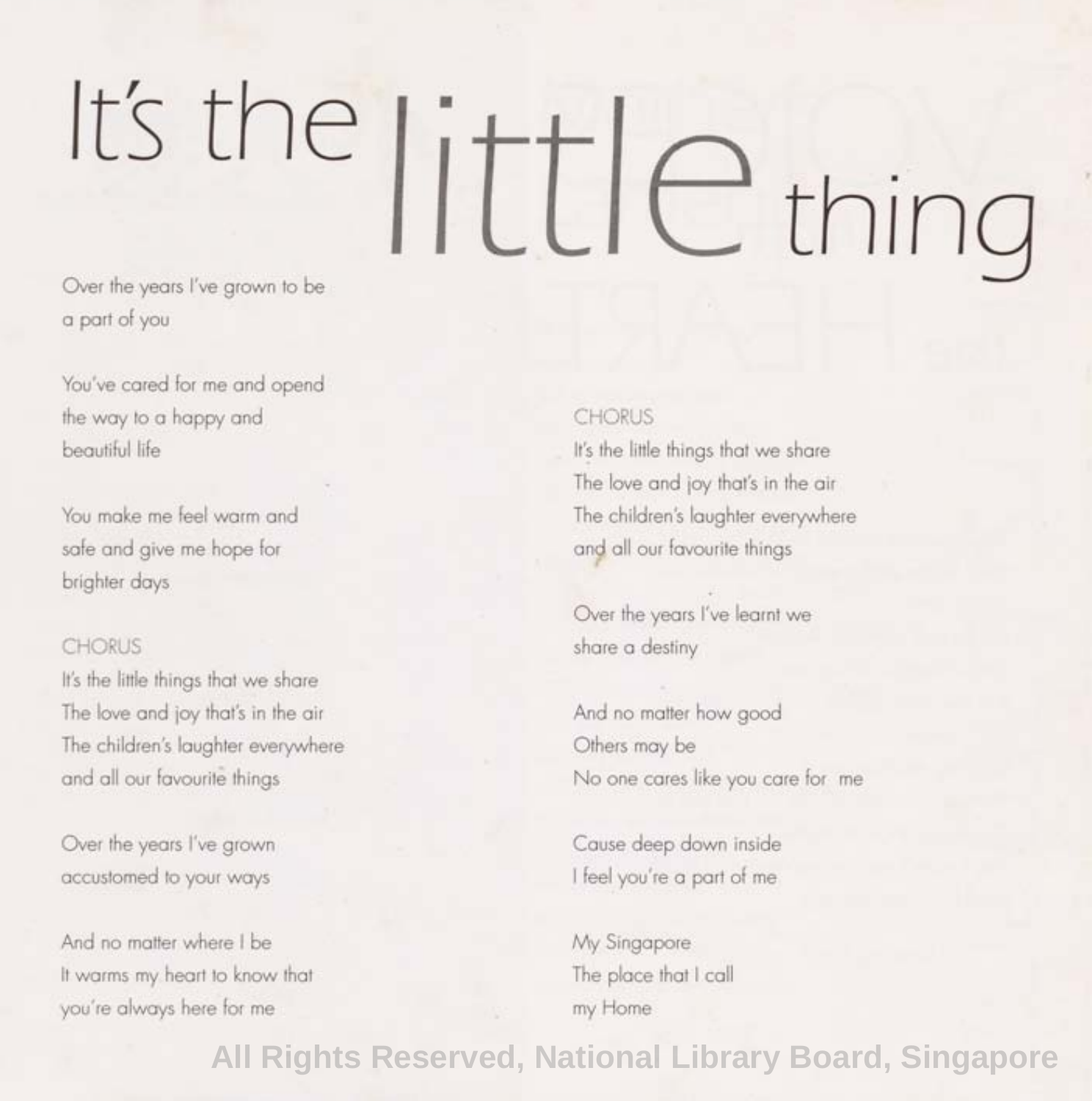# It's the little thing

a part of you

You've cared for me and opend the way to a happy and beautiful life

You make me feel warm and safe and give me hope for brighter days

#### **CHORUS**

It's the little things that we share The love and joy that's in the air The children's laughter everywhere and all our favourite things

Over the years I've grown accustomed to your ways

And no matter where I be It warms my. heart to know that you're always here for me

#### CHORUS

It's the little things that we share The love and joy that's in the air The children's laughter everywhere and all our favourite things

Over the years I've learnt we share a destiny

And no matter how good Others may be No one cares like you care for me

Cause deep down inside I feel you're a part of me

My Singapore The place that I call my Home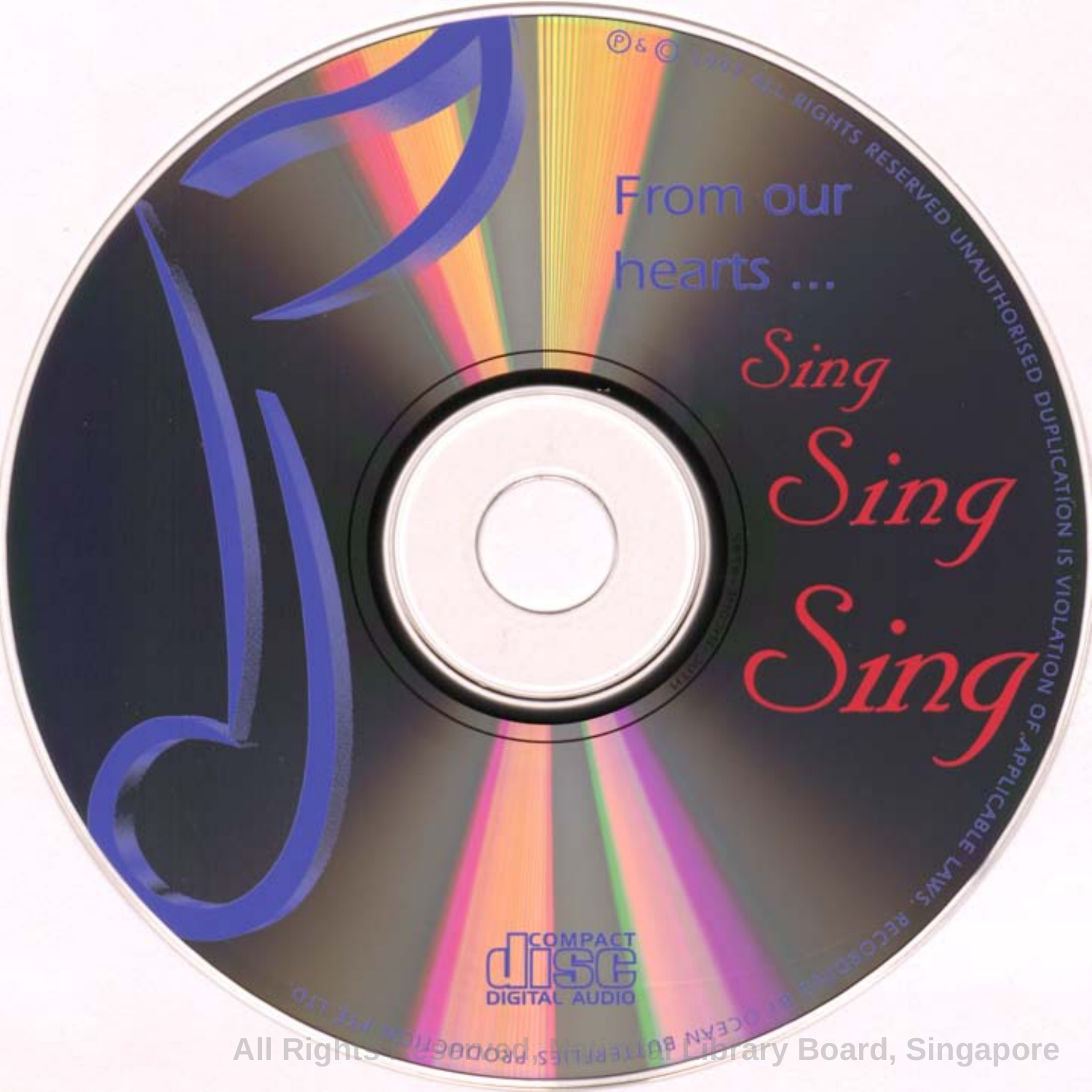